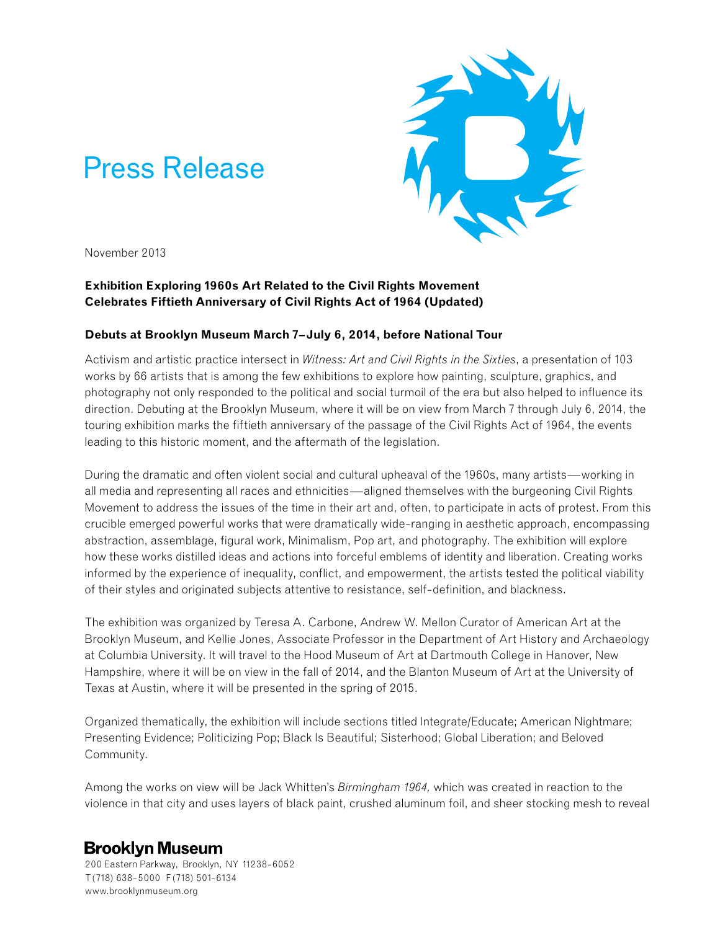# Press Release



November 2013

### **Exhibition Exploring 1960s Art Related to the Civil Rights Movement Celebrates Fiftieth Anniversary of Civil Rights Act of 1964 (Updated)**

#### **Debuts at Brooklyn Museum March 7–July 6, 2014, before National Tour**

Activism and artistic practice intersect in *Witness: Art and Civil Rights in the Sixties*, a presentation of 103 works by 66 artists that is among the few exhibitions to explore how painting, sculpture, graphics, and photography not only responded to the political and social turmoil of the era but also helped to influence its direction. Debuting at the Brooklyn Museum, where it will be on view from March 7 through July 6, 2014, the touring exhibition marks the fiftieth anniversary of the passage of the Civil Rights Act of 1964, the events leading to this historic moment, and the aftermath of the legislation.

During the dramatic and often violent social and cultural upheaval of the 1960s, many artists—working in all media and representing all races and ethnicities—aligned themselves with the burgeoning Civil Rights Movement to address the issues of the time in their art and, often, to participate in acts of protest. From this crucible emerged powerful works that were dramatically wide-ranging in aesthetic approach, encompassing abstraction, assemblage, figural work, Minimalism, Pop art, and photography. The exhibition will explore how these works distilled ideas and actions into forceful emblems of identity and liberation. Creating works informed by the experience of inequality, conflict, and empowerment, the artists tested the political viability of their styles and originated subjects attentive to resistance, self-definition, and blackness.

The exhibition was organized by Teresa A. Carbone, Andrew W. Mellon Curator of American Art at the Brooklyn Museum, and Kellie Jones, Associate Professor in the Department of Art History and Archaeology at Columbia University. It will travel to the Hood Museum of Art at Dartmouth College in Hanover, New Hampshire, where it will be on view in the fall of 2014, and the Blanton Museum of Art at the University of Texas at Austin, where it will be presented in the spring of 2015.

Organized thematically, the exhibition will include sections titled Integrate/Educate; American Nightmare; Presenting Evidence; Politicizing Pop; Black Is Beautiful; Sisterhood; Global Liberation; and Beloved Community.

Among the works on view will be Jack Whitten's *Birmingham 1964,* which was created in reaction to the violence in that city and uses layers of black paint, crushed aluminum foil, and sheer stocking mesh to reveal

## **Brooklyn Museum**

200 Eastern Parkway, Brooklyn, NY 11238-6052 T (718) 638-5000 F (718) 501-6134 www.brooklynmuseum.org